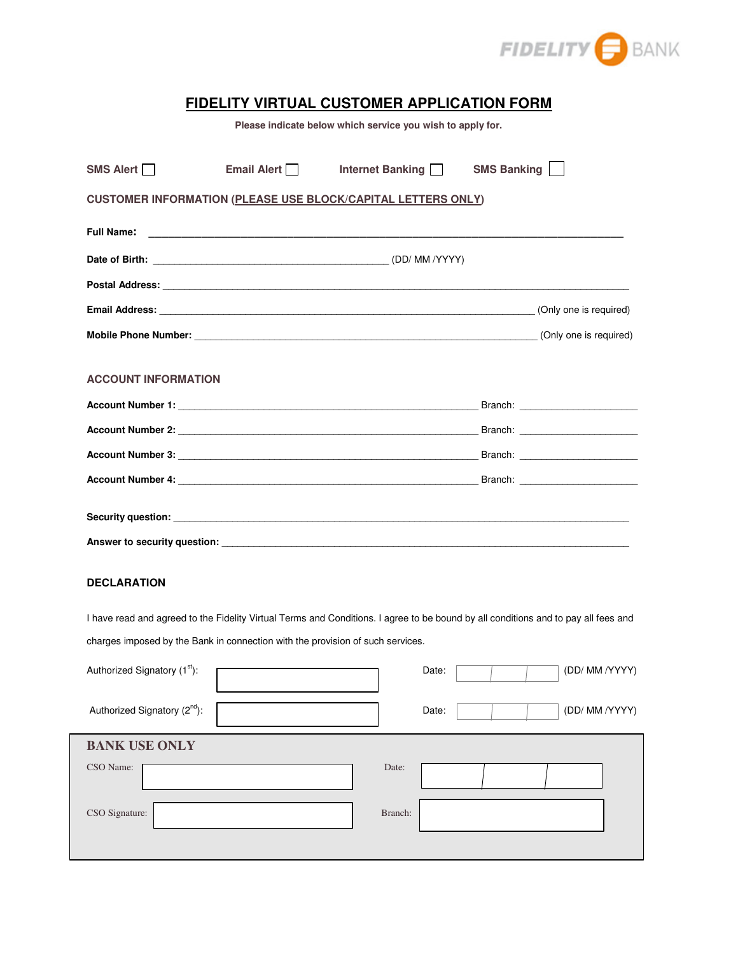

## **FIDELITY VIRTUAL CUSTOMER APPLICATION FORM**

**Please indicate below which service you wish to apply for.** 

| SMS Alert I                                                         | Email Alert | Internet Banking | <b>SMS Banking</b> |  |  |
|---------------------------------------------------------------------|-------------|------------------|--------------------|--|--|
| <b>CUSTOMER INFORMATION (PLEASE USE BLOCK/CAPITAL LETTERS ONLY)</b> |             |                  |                    |  |  |
|                                                                     |             |                  |                    |  |  |
|                                                                     |             |                  |                    |  |  |
|                                                                     |             |                  |                    |  |  |
|                                                                     |             |                  |                    |  |  |
|                                                                     |             |                  |                    |  |  |
| <b>ACCOUNT INFORMATION</b>                                          |             |                  |                    |  |  |
|                                                                     |             |                  |                    |  |  |
|                                                                     |             |                  |                    |  |  |
|                                                                     |             |                  |                    |  |  |
|                                                                     |             |                  |                    |  |  |
|                                                                     |             |                  |                    |  |  |
|                                                                     |             |                  |                    |  |  |

## **DECLARATION**

I have read and agreed to the Fidelity Virtual Terms and Conditions. I agree to be bound by all conditions and to pay all fees and charges imposed by the Bank in connection with the provision of such services.

| Authorized Signatory (1 <sup>st</sup> ): | (DD/ MM /YYYY)<br>Date: |
|------------------------------------------|-------------------------|
| Authorized Signatory (2 <sup>nd</sup> ): | (DD/ MM /YYYY)<br>Date: |
| <b>BANK USE ONLY</b>                     |                         |
| CSO Name:                                | Date:                   |
| CSO Signature:                           | Branch:                 |
|                                          |                         |